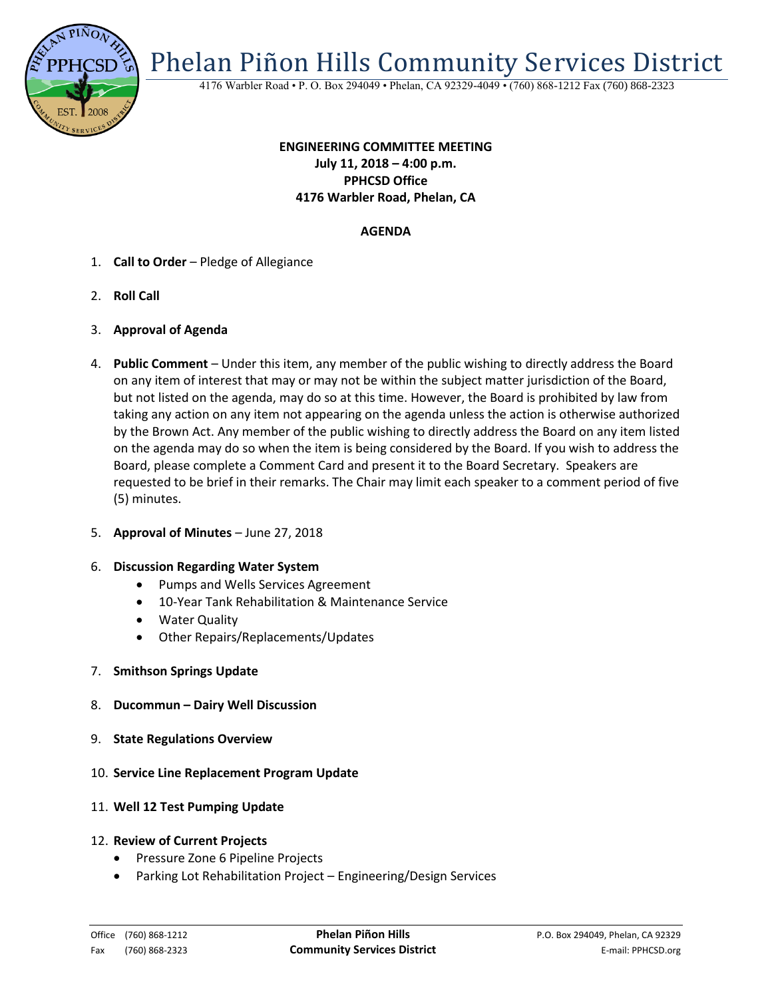

Phelan Piñon Hills Community Services District

4176 Warbler Road • P. O. Box 294049 • Phelan, CA 92329-4049 • (760) 868-1212 Fax (760) 868-2323

# **ENGINEERING COMMITTEE MEETING July 11, 2018 – 4:00 p.m. PPHCSD Office 4176 Warbler Road, Phelan, CA**

# **AGENDA**

- 1. **Call to Order** Pledge of Allegiance
- 2. **Roll Call**
- 3. **Approval of Agenda**
- 4. **Public Comment**  Under this item, any member of the public wishing to directly address the Board on any item of interest that may or may not be within the subject matter jurisdiction of the Board, but not listed on the agenda, may do so at this time. However, the Board is prohibited by law from taking any action on any item not appearing on the agenda unless the action is otherwise authorized by the Brown Act. Any member of the public wishing to directly address the Board on any item listed on the agenda may do so when the item is being considered by the Board. If you wish to address the Board, please complete a Comment Card and present it to the Board Secretary. Speakers are requested to be brief in their remarks. The Chair may limit each speaker to a comment period of five (5) minutes.
- 5. **Approval of Minutes**  June 27, 2018

#### 6. **Discussion Regarding Water System**

- Pumps and Wells Services Agreement
- 10-Year Tank Rehabilitation & Maintenance Service
- Water Quality
- Other Repairs/Replacements/Updates
- 7. **Smithson Springs Update**
- 8. **Ducommun – Dairy Well Discussion**
- 9. **State Regulations Overview**
- 10. **Service Line Replacement Program Update**
- 11. **Well 12 Test Pumping Update**
- 12. **Review of Current Projects**
	- Pressure Zone 6 Pipeline Projects
	- Parking Lot Rehabilitation Project Engineering/Design Services